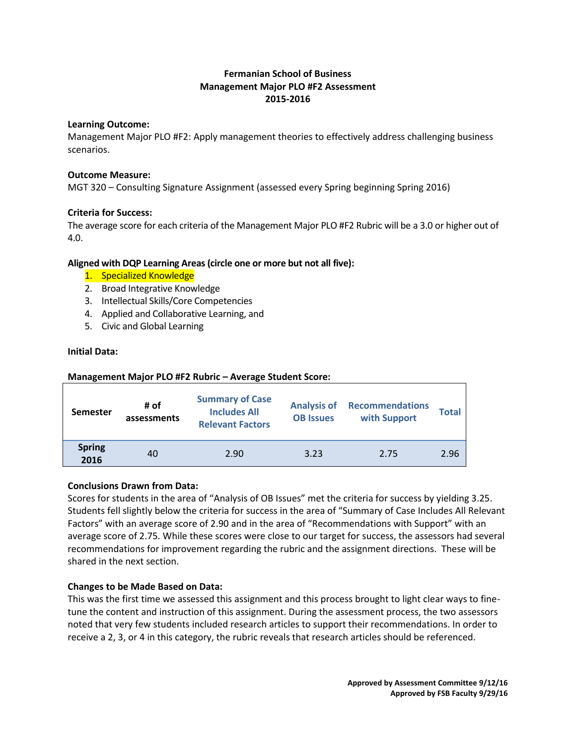## **Fermanian School of Business Management Major PLO #F2 Assessment 2015-2016**

#### **Learning Outcome:**

Management Major PLO #F2: Apply management theories to effectively address challenging business scenarios.

#### **Outcome Measure:**

MGT 320 – Consulting Signature Assignment (assessed every Spring beginning Spring 2016)

## **Criteria for Success:**

The average score for each criteria of the Management Major PLO #F2 Rubric will be a 3.0 or higher out of 4.0.

## **Aligned with DQP Learning Areas (circle one or more but not all five):**

- 1. Specialized Knowledge
- 2. Broad Integrative Knowledge
- 3. Intellectual Skills/Core Competencies
- 4. Applied and Collaborative Learning, and
- 5. Civic and Global Learning

#### **Initial Data:**

#### **Management Major PLO #F2 Rubric – Average Student Score:**

| <b>Semester</b>       | # of<br>assessments | <b>Summary of Case</b><br><b>Includes All</b><br><b>Relevant Factors</b> | <b>Analysis of</b><br><b>OB Issues</b> | <b>Recommendations</b><br>with Support | <b>Total</b> |
|-----------------------|---------------------|--------------------------------------------------------------------------|----------------------------------------|----------------------------------------|--------------|
| <b>Spring</b><br>2016 | 40                  | 2.90                                                                     | 3.23                                   | 2.75                                   | 2.96         |

## **Conclusions Drawn from Data:**

Scores for students in the area of "Analysis of OB Issues" met the criteria for success by yielding 3.25. Students fell slightly below the criteria for success in the area of "Summary of Case Includes All Relevant Factors" with an average score of 2.90 and in the area of "Recommendations with Support" with an average score of 2.75. While these scores were close to our target for success, the assessors had several recommendations for improvement regarding the rubric and the assignment directions. These will be shared in the next section.

## **Changes to be Made Based on Data:**

This was the first time we assessed this assignment and this process brought to light clear ways to finetune the content and instruction of this assignment. During the assessment process, the two assessors noted that very few students included research articles to support their recommendations. In order to receive a 2, 3, or 4 in this category, the rubric reveals that research articles should be referenced.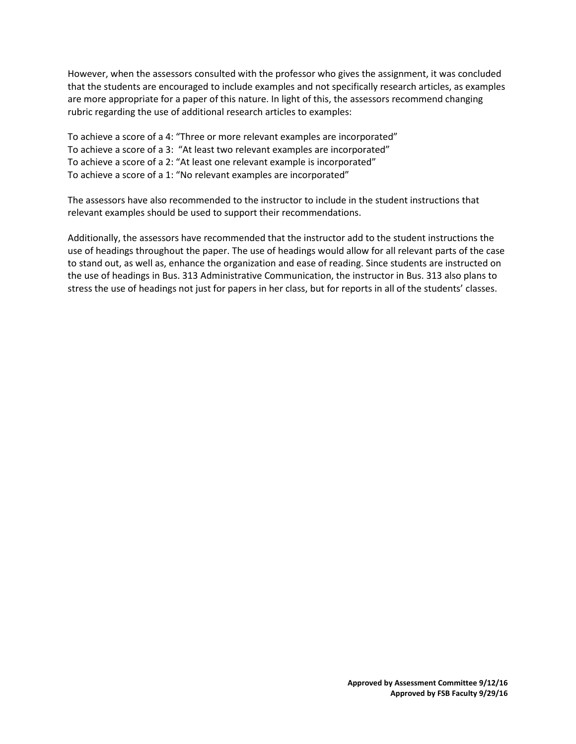However, when the assessors consulted with the professor who gives the assignment, it was concluded that the students are encouraged to include examples and not specifically research articles, as examples are more appropriate for a paper of this nature. In light of this, the assessors recommend changing rubric regarding the use of additional research articles to examples:

To achieve a score of a 4: "Three or more relevant examples are incorporated" To achieve a score of a 3: "At least two relevant examples are incorporated" To achieve a score of a 2: "At least one relevant example is incorporated" To achieve a score of a 1: "No relevant examples are incorporated"

The assessors have also recommended to the instructor to include in the student instructions that relevant examples should be used to support their recommendations.

Additionally, the assessors have recommended that the instructor add to the student instructions the use of headings throughout the paper. The use of headings would allow for all relevant parts of the case to stand out, as well as, enhance the organization and ease of reading. Since students are instructed on the use of headings in Bus. 313 Administrative Communication, the instructor in Bus. 313 also plans to stress the use of headings not just for papers in her class, but for reports in all of the students' classes.